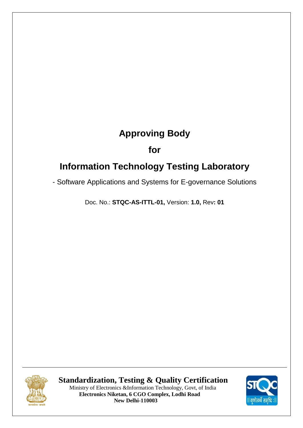# **Approving Body**

# **for**

# **Information Technology Testing Laboratory**

- Software Applications and Systems for E-governance Solutions

Doc. No.: **STQC-AS-ITTL-01,** Version: **1.0,** Rev**: 01**



 **Standardization, Testing & Quality Certification** Ministry of Electronics &Information Technology, Govt, of India  **Electronics Niketan, 6 CGO Complex, Lodhi Road New Delhi-110003** 

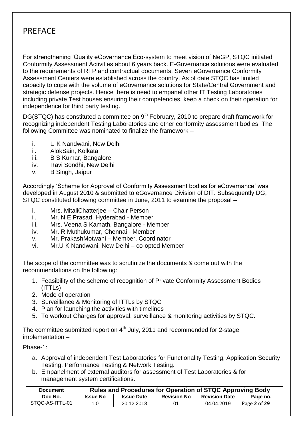# PREFACE

For strengthening "Quality eGovernance Eco-system to meet vision of NeGP, STQC initiated Conformity Assessment Activities about 6 years back. E-Governance solutions were evaluated to the requirements of RFP and contractual documents. Seven eGovernance Conformity Assessment Centers were established across the country. As of date STQC has limited capacity to cope with the volume of eGovernance solutions for State/Central Government and strategic defense projects. Hence there is need to empanel other IT Testing Laboratories including private Test houses ensuring their competencies, keep a check on their operation for independence for third party testing.

DG(STQC) has constituted a committee on 9<sup>th</sup> February, 2010 to prepare draft framework for recognizing independent Testing Laboratories and other conformity assessment bodies. The following Committee was nominated to finalize the framework –

- i. U K Nandwani, New Delhi
- ii. AlokSain, Kolkata
- iii. B S Kumar, Bangalore
- iv. Ravi Sondhi, New Delhi
- v. B Singh, Jaipur

Accordingly "Scheme for Approval of Conformity Assessment bodies for eGovernance" was developed in August 2010 & submitted to eGovernance Division of DIT. Subsequently DG, STQC constituted following committee in June, 2011 to examine the proposal –

- i. Mrs. MitaliChatterjee Chair Person
- ii. Mr. N E Prasad, Hyderabad Member
- iii. Mrs. Veena S Kamath, Bangalore Member
- iv. Mr. R Muthukumar, Chennai Member
- v. Mr. PrakashMotwani Member, Coordinator
- vi. Mr.U K Nandwani, New Delhi co-opted Member

The scope of the committee was to scrutinize the documents & come out with the recommendations on the following:

- 1. Feasibility of the scheme of recognition of Private Conformity Assessment Bodies (ITTLs)
- 2. Mode of operation
- 3. Surveillance & Monitoring of ITTLs by STQC
- 4. Plan for launching the activities with timelines
- 5. To workout Charges for approval, surveillance & monitoring activities by STQC.

The committee submitted report on  $4<sup>th</sup>$  July, 2011 and recommended for 2-stage implementation –

### Phase-1:

- a. Approval of independent Test Laboratories for Functionality Testing, Application Security Testing, Performance Testing & Network Testing.
- b. Empanelment of external auditors for assessment of Test Laboratories & for management system certifications.

| <b>Document</b> | Rules and Procedures for Operation of STQC Approving Body |                   |                    |                      |              |  |  |
|-----------------|-----------------------------------------------------------|-------------------|--------------------|----------------------|--------------|--|--|
| Doc No.         | <b>Issue No</b>                                           | <b>Issue Date</b> | <b>Revision No</b> | <b>Revision Date</b> | Page no.     |  |  |
| STOC-AS-ITTL-01 | 1.0                                                       | 20.12.2013        | 01                 | 04.04.2019           | Page 2 of 29 |  |  |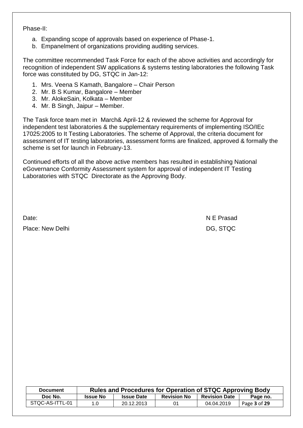Phase-II:

- a. Expanding scope of approvals based on experience of Phase-1.
- b. Empanelment of organizations providing auditing services.

The committee recommended Task Force for each of the above activities and accordingly for recognition of independent SW applications & systems testing laboratories the following Task force was constituted by DG, STQC in Jan-12:

- 1. Mrs. Veena S Kamath, Bangalore Chair Person
- 2. Mr. B S Kumar, Bangalore Member
- 3. Mr. AlokeSain, Kolkata Member
- 4. Mr. B Singh, Jaipur Member.

The Task force team met in March& April-12 & reviewed the scheme for Approval for independent test laboratories & the supplementary requirements of implementing ISO/IEc 17025:2005 to It Testing Laboratories. The scheme of Approval, the criteria document for assessment of IT testing laboratories, assessment forms are finalized, approved & formally the scheme is set for launch in February-13.

Continued efforts of all the above active members has resulted in establishing National eGovernance Conformity Assessment system for approval of independent IT Testing Laboratories with STQC Directorate as the Approving Body.

Place: New Delhi DG, STQC

Date: N E Prasad N E Prasad N E Prasad N E Prasad N E Prasad N E Prasad N E Prasad N E Prasad N E Prasad N E Prasad N E Prasad N E Prasad N E Prasad N E Prasad N E Prasad N E Prasad N E Prasad N E Prasad N E Prasad N E Pra

| <b>Document</b> | <b>Rules and Procedures for Operation of STQC Approving Body</b> |                   |                    |                      |              |  |
|-----------------|------------------------------------------------------------------|-------------------|--------------------|----------------------|--------------|--|
| Doc No.         | <b>Issue No</b>                                                  | <b>Issue Date</b> | <b>Revision No</b> | <b>Revision Date</b> | Page no.     |  |
| STQC-AS-ITTL-01 | 1.0                                                              | 20.12.2013        | 01                 | 04.04.2019           | Page 3 of 29 |  |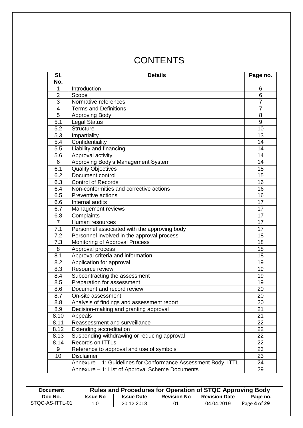# **CONTENTS**

| SI.              | <b>Details</b>                                                 |                 |  |  |
|------------------|----------------------------------------------------------------|-----------------|--|--|
| No.              |                                                                | Page no.        |  |  |
| 1                | Introduction                                                   | 6               |  |  |
| $\overline{2}$   | Scope                                                          | 6               |  |  |
| 3                | Normative references                                           | $\overline{7}$  |  |  |
| $\overline{4}$   | <b>Terms and Definitions</b>                                   | $\overline{7}$  |  |  |
| 5                | <b>Approving Body</b>                                          | 8               |  |  |
| 5.1              | <b>Legal Status</b>                                            | 9               |  |  |
| 5.2              | <b>Structure</b>                                               | 10              |  |  |
| 5.3              | Impartiality                                                   | 13              |  |  |
| 5.4              | Confidentiality                                                | 14              |  |  |
| 5.5              | Liability and financing                                        | 14              |  |  |
| 5.6              | Approval activity                                              | 14              |  |  |
| 6                | Approving Body's Management System                             | 14              |  |  |
| $\overline{6.1}$ | <b>Quality Objectives</b>                                      | $\overline{15}$ |  |  |
| 6.2              | Document control                                               | 15              |  |  |
| 6.3              | <b>Control of Records</b>                                      | 16              |  |  |
| 6.4              | Non-conformities and corrective actions                        | 16              |  |  |
| 6.5              | <b>Preventive actions</b>                                      | 16              |  |  |
| 6.6              | Internal audits                                                | 17              |  |  |
| 6.7              | Management reviews                                             | 17              |  |  |
| 6.8              | Complaints                                                     | 17              |  |  |
| $\overline{7}$   | Human resources                                                | 17              |  |  |
| $\overline{7.1}$ | Personnel associated with the approving body                   | 17              |  |  |
| 7.2              | Personnel involved in the approval process                     | 18              |  |  |
| 7.3              | Monitoring of Approval Process                                 | 18              |  |  |
| 8                | Approval process                                               | 18              |  |  |
| 8.1              | Approval criteria and information                              | 18              |  |  |
| 8.2              | Application for approval                                       | 19              |  |  |
| 8.3              | Resource review                                                | 19              |  |  |
| 8.4              | Subcontracting the assessment                                  | 19              |  |  |
| 8.5              | Preparation for assessment                                     | 19              |  |  |
| 8.6              | Document and record review                                     | 20              |  |  |
| 8.7              | On-site assessment                                             | 20              |  |  |
| 8.8              | Analysis of findings and assessment report                     | 20              |  |  |
| 8.9              | Decision-making and granting approval                          | 21              |  |  |
| 8.10             | Appeals                                                        | 21              |  |  |
| 8.11             | Reassessment and surveillance                                  | 22              |  |  |
| 8.12             | Extending accreditation                                        | 22              |  |  |
| 8.13             | Suspending withdrawing or reducing approval                    | 22              |  |  |
| 8.14             | Records on ITTLs                                               | 22              |  |  |
| 9                | Reference to approval and use of symbols                       | 23              |  |  |
| 10               | <b>Disclaimer</b>                                              | 23              |  |  |
|                  | Annexure - 1: Guidelines for Conformance Assessment Body, ITTL | 24              |  |  |
|                  | Annexure - 1: List of Approval Scheme Documents                | 29              |  |  |

| <b>Document</b> | Rules and Procedures for Operation of STQC Approving Body |                   |                    |                      |              |  |  |
|-----------------|-----------------------------------------------------------|-------------------|--------------------|----------------------|--------------|--|--|
| Doc No.         | <b>Issue No</b>                                           | <b>Issue Date</b> | <b>Revision No</b> | <b>Revision Date</b> | Page no.     |  |  |
| STQC-AS-ITTL-01 | 1.0                                                       | 20.12.2013        | 01                 | 04.04.2019           | Page 4 of 29 |  |  |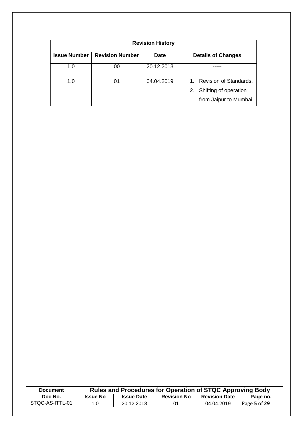| <b>Revision History</b> |                        |             |                                                                                 |  |  |  |  |
|-------------------------|------------------------|-------------|---------------------------------------------------------------------------------|--|--|--|--|
| <b>Issue Number</b>     | <b>Revision Number</b> | <b>Date</b> | <b>Details of Changes</b>                                                       |  |  |  |  |
| 1.0                     | 00                     | 20.12.2013  |                                                                                 |  |  |  |  |
| 1.0                     | 01                     | 04.04.2019  | 1. Revision of Standards.<br>2. Shifting of operation<br>from Jaipur to Mumbai. |  |  |  |  |

| <b>Document</b> | Rules and Procedures for Operation of STQC Approving Body |                   |                    |                      |              |  |
|-----------------|-----------------------------------------------------------|-------------------|--------------------|----------------------|--------------|--|
| Doc No.         | <b>Issue No</b>                                           | <b>Issue Date</b> | <b>Revision No</b> | <b>Revision Date</b> | Page no.     |  |
| STQC-AS-ITTL-01 | 1.0                                                       | 20.12.2013        | 01                 | 04.04.2019           | Page 5 of 29 |  |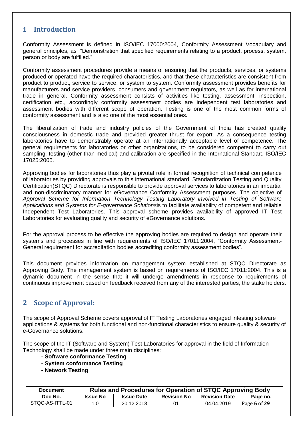## **1 Introduction**

Conformity Assessment is defined in ISO/IEC 17000:2004, Conformity Assessment Vocabulary and general principles, as "Demonstration that specified requirements relating to a product, process, system, person or body are fulfilled."

Conformity assessment procedures provide a means of ensuring that the products, services, or systems produced or operated have the required characteristics, and that these characteristics are consistent from product to product, service to service, or system to system. Conformity assessment provides benefits for manufacturers and service providers, consumers and government regulators, as well as for international trade in general. Conformity assessment consists of activities like testing, assessment, inspection, certification etc., accordingly conformity assessment bodies are independent test laboratories and assessment bodies with different scope of operation. Testing is one of the most common forms of conformity assessment and is also one of the most essential ones.

The liberalization of trade and industry policies of the Government of India has created quality consciousness in domestic trade and provided greater thrust for export. As a consequence testing laboratories have to demonstrably operate at an internationally acceptable level of competence. The general requirements for laboratories or other organizations, to be considered competent to carry out sampling, testing (other than medical) and calibration are specified in the International Standard ISO/IEC 17025:2005.

Approving bodies for laboratories thus play a pivotal role in formal recognition of technical competence of laboratories by providing approvals to this international standard. Standardization Testing and Quality Certification(STQC) Directorate is responsible to provide approval services to laboratories in an impartial and non-discriminatory manner for eGovernance Conformity Assessment purposes. The objective of *Approval Scheme for Information Technology Testing Laboratory involved in Testing of Software Applications and Systems for E-governance Solutions*is to facilitate availability of competent and reliable Independent Test Laboratories. This approval scheme provides availability of approved IT Test Laboratories for evaluating quality and security of eGovernance solutions.

For the approval process to be effective the approving bodies are required to design and operate their systems and processes in line with requirements of ISO/IEC 17011:2004, "Conformity Assessment-General requirement for accreditation bodies accrediting conformity assessment bodies".

This document provides information on management system established at STQC Directorate as Approving Body. The management system is based on requirements of ISO/IEC 17011:2004. This is a dynamic document in the sense that it will undergo amendments in response to requirements of continuous improvement based on feedback received from any of the interested parties, the stake holders.

# **2 Scope of Approval:**

The scope of Approval Scheme covers approval of IT Testing Laboratories engaged intesting software applications & systems for both functional and non-functional characteristics to ensure quality & security of e-Governance solutions.

The scope of the IT (Software and System) Test Laboratories for approval in the field of Information Technology shall be made under three main disciplines:

- **- Software conformance Testing**
- **- System conformance Testing**
- **- Network Testing**

| <b>Document</b> | Rules and Procedures for Operation of STQC Approving Body |                   |                    |                      |              |  |
|-----------------|-----------------------------------------------------------|-------------------|--------------------|----------------------|--------------|--|
| Doc No.         | <b>Issue No</b>                                           | <b>Issue Date</b> | <b>Revision No</b> | <b>Revision Date</b> | Page no.     |  |
| STQC-AS-ITTL-01 | 1.0                                                       | 20.12.2013        | 01                 | 04.04.2019           | Page 6 of 29 |  |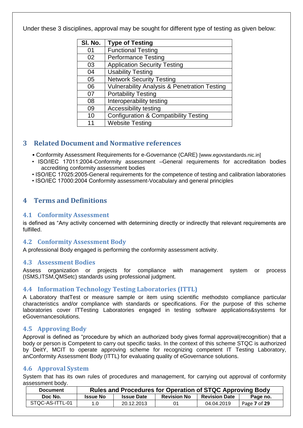Under these 3 disciplines, approval may be sought for different type of testing as given below:

| SI. No. | <b>Type of Testing</b>                                  |
|---------|---------------------------------------------------------|
| 01      | <b>Functional Testing</b>                               |
| 02      | <b>Performance Testing</b>                              |
| 03      | <b>Application Security Testing</b>                     |
| 04      | <b>Usability Testing</b>                                |
| 05      | <b>Network Security Testing</b>                         |
| 06      | <b>Vulnerability Analysis &amp; Penetration Testing</b> |
| 07      | <b>Portability Testing</b>                              |
| 08      | Interoperability testing                                |
| 09      | <b>Accessibility testing</b>                            |
| 10      | <b>Configuration &amp; Compatibility Testing</b>        |
| 11      | <b>Website Testing</b>                                  |

# **3 Related Document and Normative references**

• Conformity Assessment Requirements for e-Governance (CARE) [www.egovstandards.nic.in]

- ISO/IEC 17011:2004-Conformity assessment –General requirements for accreditation bodies accrediting conformity assessment bodies
- ISO/IEC 17025:2005-General requirements for the competence of testing and calibration laboratories
- ISO/IEC 17000:2004 Conformity assessment-Vocabulary and general principles

# **4 Terms and Definitions**

### **4.1 Conformity Assessment**

is defined as "Any activity concerned with determining directly or indirectly that relevant requirements are fulfilled.

## **4.2 Conformity Assessment Body**

A professional Body engaged is performing the conformity assessment activity.

### **4.3 Assessment Bodies**

Assess organization or projects for compliance with management system or process (ISMS,ITSM,QMSetc) standards using professional judgment.

## **4.4 Information Technology Testing Laboratories (ITTL)**

A Laboratory thatTest or measure sample or item using scientific methodsto compliance particular characteristics and/or compliance with standards or specifications. For the purpose of this scheme laboratories cover ITTesting Laboratories engaged in testing software applications&systems for eGovernancesolutions.

## **4.5 Approving Body**

Approval is defined as "procedure by which an authorized body gives formal approval(recognition) that a body or person is Competent to carry out specific tasks. In the context of this scheme STQC is authorized by DeitY, MCIT to operate approving scheme for recognizing competent IT Testing Laboratory, anConformity Assessment Body (ITTL) for evaluating quality of eGovernance solutions.

## **4.6 Approval System**

System that has its own rules of procedures and management, for carrying out approval of conformity assessment body.

| <b>Document</b> | <b>Rules and Procedures for Operation of STQC Approving Body</b> |                   |                    |                      |              |  |  |
|-----------------|------------------------------------------------------------------|-------------------|--------------------|----------------------|--------------|--|--|
| Doc No.         | <b>Issue No</b>                                                  | <b>Issue Date</b> | <b>Revision No</b> | <b>Revision Date</b> | Page no.     |  |  |
| STQC-AS-ITTL-01 | 1.0                                                              | 20.12.2013        | 01                 | 04.04.2019           | Page 7 of 29 |  |  |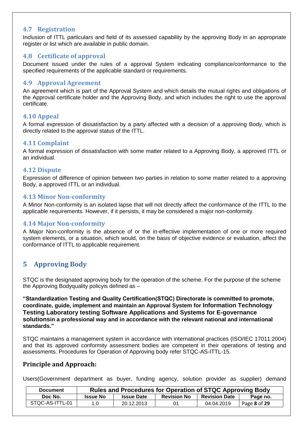### **4.7 Registration**

Inclusion of ITTL particulars and field of its assessed capability by the approving Body in an appropriate register or list which are available in public domain.

### **4.8 Certificate of approval**

Document issued under the rules of a approval System indicating compliance/conformance to the specified requirements of the applicable standard or requirements.

### **4.9 Approval Agreement**

An agreement which is part of the Approval System and which details the mutual rights and obligations of the Approval certificate holder and the Approving Body, and which includes the right to use the approval certificate.

### **4.10 Appeal**

A formal expression of dissatisfaction by a party affected with a decision of a approving Body, which is directly related to the approval status of the ITTL.

### **4.11 Complaint**

A formal expression of dissatisfaction with some matter related to a Approving Body, a approved ITTL or an individual.

### **4.12 Dispute**

Expression of difference of opinion between two parties in relation to some matter related to a approving Body, a approved ITTL or an individual.

### **4.13 Minor Non-conformity**

A Minor Non-conformity is an isolated lapse that will not directly affect the conformance of the ITTL to the applicable requirements. However, if it persists, it may be considered a major non-conformity.

### **4.14 Major Non-conformity**

A Major Non-conformity is the absence of or the in-effective implementation of one or more required system elements, or a situation, which would, on the basis of objective evidence or evaluation, affect the conformance of ITTL to applicable requirement.

# **5 Approving Body**

STQC is the designated approving body for the operation of the scheme. For the purpose of the scheme the Approving Bodyquality policyis defined as –

**"Standardization Testing and Quality Certification(STQC) Directorate is committed to promote, coordinate, guide, implement and maintain an Approval System for Information Technology Testing Laboratory testing Software Applications and Systems for E-governance solutionsin a professional way and in accordance with the relevant national and international standards."** 

STQC maintains a management system in accordance with international practices (ISO/IEC 17011:2004) and that its approved conformity assessment bodies are competent in their operations of testing and assessments. Procedures for Operation of Approving body refer STQC-AS-ITTL-15.

### **Principle and Approach:**

Users(Government department as buyer, funding agency, solution provider as supplier) demand

| <b>Document</b> | <b>Rules and Procedures for Operation of STQC Approving Body</b> |                   |                    |                      |              |  |  |
|-----------------|------------------------------------------------------------------|-------------------|--------------------|----------------------|--------------|--|--|
| Doc No.         | <b>Issue No</b>                                                  | <b>Issue Date</b> | <b>Revision No</b> | <b>Revision Date</b> | Page no.     |  |  |
| STQC-AS-ITTL-01 | 1.0                                                              | 20.12.2013        | 01                 | 04.04.2019           | Page 8 of 29 |  |  |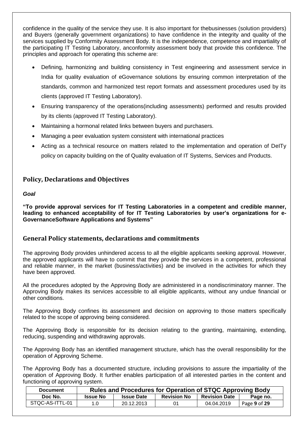confidence in the quality of the service they use. It is also important for thebusinesses (solution providers) and Buyers (generally government organizations) to have confidence in the integrity and quality of the services supplied by Conformity Assessment Body. It is the independence, competence and impartiality of the participating IT Testing Laboratory, anconformity assessment body that provide this confidence. The principles and approach for operating this scheme are:

- Defining, harmonizing and building consistency in Test engineering and assessment service in India for quality evaluation of eGovernance solutions by ensuring common interpretation of the standards, common and harmonized test report formats and assessment procedures used by its clients (approved IT Testing Laboratory).
- Ensuring transparency of the operations(including assessments) performed and results provided by its clients (approved IT Testing Laboratory).
- Maintaining a hormonal related links between buyers and purchasers.
- Managing a peer evaluation system consistent with international practices
- Acting as a technical resource on matters related to the implementation and operation of DeITy policy on capacity building on the of Quality evaluation of IT Systems, Services and Products.

## **Policy, Declarations and Objectives**

### *Goal*

**"To provide approval services for IT Testing Laboratories in a competent and credible manner, leading to enhanced acceptability of for IT Testing Laboratories by user's organizations for e-GovernanceSoftware Applications and Systems"** 

## **General Policy statements, declarations and commitments**

The approving Body provides unhindered access to all the eligible applicants seeking approval. However, the approved applicants will have to commit that they provide the services in a competent, professional and reliable manner, in the market (business/activities) and be involved in the activities for which they have been approved.

All the procedures adopted by the Approving Body are administered in a nondiscriminatory manner. The Approving Body makes its services accessible to all eligible applicants, without any undue financial or other conditions.

The Approving Body confines its assessment and decision on approving to those matters specifically related to the scope of approving being considered.

The Approving Body is responsible for its decision relating to the granting, maintaining, extending, reducing, suspending and withdrawing approvals.

The Approving Body has an identified management structure, which has the overall responsibility for the operation of Approving Scheme.

The Approving Body has a documented structure, including provisions to assure the impartiality of the operation of Approving Body. It further enables participation of all interested parties in the content and functioning of approving system.

| <b>Document</b> | Rules and Procedures for Operation of STQC Approving Body |                   |                    |                      |              |  |  |
|-----------------|-----------------------------------------------------------|-------------------|--------------------|----------------------|--------------|--|--|
| Doc No.         | <b>Issue No</b>                                           | <b>Issue Date</b> | <b>Revision No</b> | <b>Revision Date</b> | Page no.     |  |  |
| STOC-AS-ITTL-01 | 1.0                                                       | 20.12.2013        | 01                 | 04.04.2019           | Page 9 of 29 |  |  |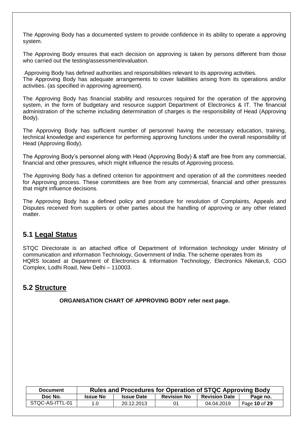The Approving Body has a documented system to provide confidence in its ability to operate a approving system.

The Approving Body ensures that each decision on approving is taken by persons different from those who carried out the testing/assessment/evaluation.

Approving Body has defined authorities and responsibilities relevant to its approving activities. The Approving Body has adequate arrangements to cover liabilities arising from its operations and/or activities. (as specified in approving agreement).

The Approving Body has financial stability and resources required for the operation of the approving system, in the form of budgetary and resource support Department of Electronics & IT. The financial administration of the scheme including determination of charges is the responsibility of Head (Approving Body).

The Approving Body has sufficient number of personnel having the necessary education, training, technical knowledge and experience for performing approving functions under the overall responsibility of Head (Approving Body).

The Approving Body"s personnel along with Head (Approving Body) & staff are free from any commercial, financial and other pressures, which might influence the results of Approving process.

The Approving Body has a defined criterion for appointment and operation of all the committees needed for Approving process. These committees are free from any commercial, financial and other pressures that might influence decisions.

The Approving Body has a defined policy and procedure for resolution of Complaints, Appeals and Disputes received from suppliers or other parties about the handling of approving or any other related matter.

# **5.1 Legal Status**

STQC Directorate is an attached office of Department of Information technology under Ministry of communication and information Technology, Government of India. The scheme operates from its HQRS located at Department of Electronics & Information Technology, Electronics Niketan,6, CGO Complex, Lodhi Road, New Delhi – 110003.

# **5.2 Structure**

**ORGANISATION CHART OF APPROVING BODY refer next page.**

| <b>Document</b> | Rules and Procedures for Operation of STQC Approving Body |                   |                    |                      |               |  |
|-----------------|-----------------------------------------------------------|-------------------|--------------------|----------------------|---------------|--|
| Doc No.         | <b>Issue No</b>                                           | <b>Issue Date</b> | <b>Revision No</b> | <b>Revision Date</b> | Page no.      |  |
| STQC-AS-ITTL-01 | 1.0                                                       | 20.12.2013        | 01                 | 04.04.2019           | Page 10 of 29 |  |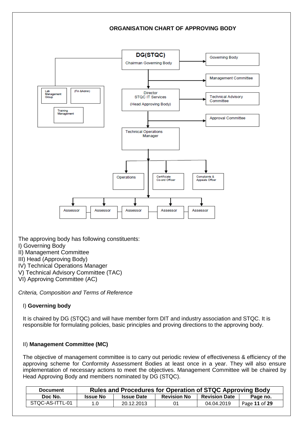

Certificiate<br>Co-ord Officer

Assessor

Operations

Assessor

**Complaints &**<br>Appeals Offcer

Assessor

The approving body has following constituents:

Assessor

- I) Governing Body
- II) Management Committee
- III) Head (Approving Body)
- IV) Technical Operations Manager
- V) Technical Advisory Committee (TAC)

Assessor

VI) Approving Committee (AC)

*Criteria, Composition and Terms of Reference* 

### I) **Governing body**

It is chaired by DG (STQC) and will have member form DIT and industry association and STQC. It is responsible for formulating policies, basic principles and proving directions to the approving body.

#### II) **Management Committee (MC)**

The objective of management committee is to carry out periodic review of effectiveness & efficiency of the approving scheme for Conformity Assessment Bodies at least once in a year. They will also ensure implementation of necessary actions to meet the objectives. Management Committee will be chaired by Head Approving Body and members nominated by DG (STQC).

| <b>Document</b> |                 | Rules and Procedures for Operation of STQC Approving Body |                    |                      |               |  |  |
|-----------------|-----------------|-----------------------------------------------------------|--------------------|----------------------|---------------|--|--|
| Doc No.         | <b>Issue No</b> | <b>Issue Date</b>                                         | <b>Revision No</b> | <b>Revision Date</b> | Page no.      |  |  |
| STQC-AS-ITTL-01 | 1.0             | 20.12.2013                                                | 01                 | 04.04.2019           | Page 11 of 29 |  |  |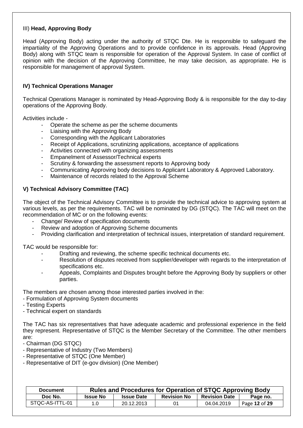### III) **Head, Approving Body**

Head (Approving Body) acting under the authority of STQC Dte. He is responsible to safeguard the impartiality of the Approving Operations and to provide confidence in its approvals. Head (Approving Body) along with STQC team is responsible for operation of the Approval System. In case of conflict of opinion with the decision of the Approving Committee, he may take decision, as appropriate. He is responsible for management of approval System.

### **IV) Technical Operations Manager**

Technical Operations Manager is nominated by Head-Approving Body & is responsible for the day to-day operations of the Approving Body.

Activities include -

- Operate the scheme as per the scheme documents
- Liaising with the Approving Body
- Corresponding with the Applicant Laboratories
- Receipt of Applications, scrutinizing applications, acceptance of applications
- Activities connected with organizing assessments
- Empanelment of Assessor/Technical experts
- Scrutiny & forwarding the assessment reports to Approving body
- Communicating Approving body decisions to Applicant Laboratory & Approved Laboratory.
- Maintenance of records related to the Approval Scheme

### **V) Technical Advisory Committee (TAC)**

The object of the Technical Advisory Committee is to provide the technical advice to approving system at various levels, as per the requirements. TAC will be nominated by DG (STQC). The TAC will meet on the recommendation of MC or on the following events:

- Change/ Review of specification documents
- Review and adoption of Approving Scheme documents
- Providing clarification and interpretation of technical issues, interpretation of standard requirement.

TAC would be responsible for:

- Drafting and reviewing, the scheme specific technical documents etc.
- Resolution of disputes received from supplier/developer with regards to the interpretation of specifications etc.
- Appeals, Complaints and Disputes brought before the Approving Body by suppliers or other parties.

The members are chosen among those interested parties involved in the:

- Formulation of Approving System documents
- Testing Experts
- Technical expert on standards

The TAC has six representatives that have adequate academic and professional experience in the field they represent. Representative of STQC is the Member Secretary of the Committee. The other members are:

- Chairman (DG STQC)

- Representative of Industry (Two Members)
- Representative of STQC (One Member)
- Representative of DIT (e-gov division) (One Member)

| <b>Document</b> |                 | <b>Rules and Procedures for Operation of STQC Approving Body</b> |                    |                      |               |  |  |  |
|-----------------|-----------------|------------------------------------------------------------------|--------------------|----------------------|---------------|--|--|--|
| Doc No.         | <b>Issue No</b> | <b>Issue Date</b>                                                | <b>Revision No</b> | <b>Revision Date</b> | Page no.      |  |  |  |
| STQC-AS-ITTL-01 | 1.0             | 20.12.2013                                                       | 01                 | 04.04.2019           | Page 12 of 29 |  |  |  |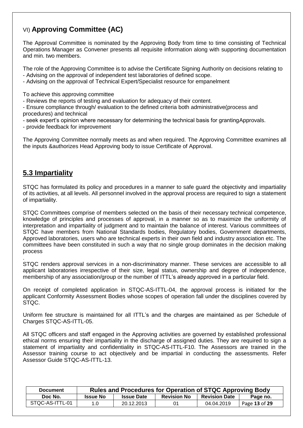# VI) **Approving Committee (AC)**

The Approval Committee is nominated by the Approving Body from time to time consisting of Technical Operations Manager as Convener presents all requisite information along with supporting documentation and min. two members.

The role of the Approving Committee is to advise the Certificate Signing Authority on decisions relating to - Advising on the approval of independent test laboratories of defined scope.

- Advising on the approval of Technical Expert/Specialist resource for empanelment

To achieve this approving committee

- Reviews the reports of testing and evaluation for adequacy of their content.

- Ensure compliance through/ evaluation to the defined criteria both administrative(process and procedures) and technical

- seek expert"s opinion where necessary for determining the technical basis for grantingApprovals.

- provide feedback for improvement

The Approving Committee normally meets as and when required. The Approving Committee examines all the inputs &authorizes Head Approving body to issue Certificate of Approval.

# **5.3 Impartiality**

.

STQC has formulated its policy and procedures in a manner to safe guard the objectivity and impartiality of its activities, at all levels. All personnel involved in the approval process are required to sign a statement of impartiality.

STQC Committees comprise of members selected on the basis of their necessary technical competence, knowledge of principles and processes of approval, in a manner so as to maximize the uniformity of interpretation and impartiality of judgment and to maintain the balance of interest. Various committees of STQC have members from National Standards bodies, Regulatory bodies, Government departments, Approved laboratories, users who are technical experts in their own field and industry association etc. The committees have been constituted in such a way that no single group dominates in the decision making process

STQC renders approval services in a non-discriminatory manner. These services are accessible to all applicant laboratories irrespective of their size, legal status, ownership and degree of independence, membership of any association/group or the number of ITTL"s already approved in a particular field.

On receipt of completed application in STQC-AS-ITTL-04, the approval process is initiated for the applicant Conformity Assessment Bodies whose scopes of operation fall under the disciplines covered by STOC.

Uniform fee structure is maintained for all ITTL"s and the charges are maintained as per Schedule of Charges STQC-AS-ITTL-05.

All STQC officers and staff engaged in the Approving activities are governed by established professional ethical norms ensuring their impartiality in the discharge of assigned duties. They are required to sign a statement of impartiality and confidentiality in STQC-AS-ITTL-F10. The Assessors are trained in the Assessor training course to act objectively and be impartial in conducting the assessments. Refer Assessor Guide STQC-AS-ITTL-13.

| <b>Document</b> |                 | Rules and Procedures for Operation of STQC Approving Body |                    |                      |               |  |  |
|-----------------|-----------------|-----------------------------------------------------------|--------------------|----------------------|---------------|--|--|
| Doc No.         | <b>Issue No</b> | <b>Issue Date</b>                                         | <b>Revision No</b> | <b>Revision Date</b> | Page no.      |  |  |
| STQC-AS-ITTL-01 | 1.0             | 20.12.2013                                                | 01                 | 04.04.2019           | Page 13 of 29 |  |  |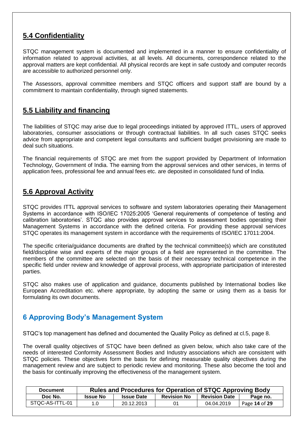# **5.4 Confidentiality**

STQC management system is documented and implemented in a manner to ensure confidentiality of information related to approval activities, at all levels. All documents, correspondence related to the approval matters are kept confidential. All physical records are kept in safe custody and computer records are accessible to authorized personnel only.

The Assessors, approval committee members and STQC officers and support staff are bound by a commitment to maintain confidentiality, through signed statements.

# **5.5 Liability and financing**

The liabilities of STQC may arise due to legal proceedings initiated by approved ITTL, users of approved laboratories, consumer associations or through contractual liabilities. In all such cases STQC seeks advice from appropriate and competent legal consultants and sufficient budget provisioning are made to deal such situations.

The financial requirements of STQC are met from the support provided by Department of Information Technology, Government of India. The earning from the approval services and other services, in terms of application fees, professional fee and annual fees etc. are deposited in consolidated fund of India.

# **5.6 Approval Activity**

STQC provides ITTL approval services to software and system laboratories operating their Management Systems in accordance with ISO/IEC 17025:2005 "General requirements of competence of testing and calibration laboratories'. STQC also provides approval services to assessment bodies operating their Management Systems in accordance with the defined criteria. For providing these approval services STQC operates its management system in accordance with the requirements of ISO/IEC 17011:2004.

The specific criteria/guidance documents are drafted by the technical committee(s) which are constituted field/discipline wise and experts of the major groups of a field are represented in the committee. The members of the committee are selected on the basis of their necessary technical competence in the specific field under review and knowledge of approval process, with appropriate participation of interested parties.

STQC also makes use of application and guidance, documents published by International bodies like European Accreditation etc. where appropriate, by adopting the same or using them as a basis for formulating its own documents.

# **6 Approving Body's Management System**

STQC"s top management has defined and documented the Quality Policy as defined at cl.5, page 8.

The overall quality objectives of STQC have been defined as given below, which also take care of the needs of interested Conformity Assessment Bodies and Industry associations which are consistent with STQC policies. These objectives form the basis for defining measurable quality objectives during the management review and are subject to periodic review and monitoring. These also become the tool and the basis for continually improving the effectiveness of the management system.

| <b>Document</b> |                 | Rules and Procedures for Operation of STQC Approving Body |                    |                      |               |  |  |
|-----------------|-----------------|-----------------------------------------------------------|--------------------|----------------------|---------------|--|--|
| Doc No.         | <b>Issue No</b> | <b>Issue Date</b>                                         | <b>Revision No</b> | <b>Revision Date</b> | Page no.      |  |  |
| STQC-AS-ITTL-01 | 1.0             | 20.12.2013                                                |                    | 04.04.2019           | Page 14 of 29 |  |  |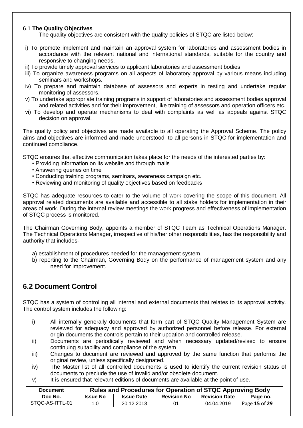### 6.1 **The Quality Objectives**

The quality objectives are consistent with the quality policies of STQC are listed below:

- i) To promote implement and maintain an approval system for laboratories and assessment bodies in accordance with the relevant national and international standards, suitable for the country and responsive to changing needs.
- ii) To provide timely approval services to applicant laboratories and assessment bodies
- iii) To organize awareness programs on all aspects of laboratory approval by various means including seminars and workshops.
- iv) To prepare and maintain database of assessors and experts in testing and undertake regular monitoring of assessors.
- v) To undertake appropriate training programs in support of laboratories and assessment bodies approval and related activities and for their improvement, like training of assessors and operation officers etc.
- vi) To develop and operate mechanisms to deal with complaints as well as appeals against STQC decision on approval.

The quality policy and objectives are made available to all operating the Approval Scheme. The policy aims and objectives are informed and made understood, to all persons in STQC for implementation and continued compliance.

STQC ensures that effective communication takes place for the needs of the interested parties by:

- Providing information on its website and through mails
- Answering queries on time
- Conducting training programs, seminars, awareness campaign etc.
- Reviewing and monitoring of quality objectives based on feedbacks

STQC has adequate resources to cater to the volume of work covering the scope of this document. All approval related documents are available and accessible to all stake holders for implementation in their areas of work. During the internal review meetings the work progress and effectiveness of implementation of STQC process is monitored.

The Chairman Governing Body, appoints a member of STQC Team as Technical Operations Manager. The Technical Operations Manager, irrespective of his/her other responsibilities, has the responsibility and authority that includes-

- a) establishment of procedures needed for the management system
- b) reporting to the Chairman, Governing Body on the performance of management system and any need for improvement.

# **6.2 Document Control**

STQC has a system of controlling all internal and external documents that relates to its approval activity. The control system includes the following:

- i) All internally generally documents that form part of STQC Quality Management System are reviewed for adequacy and approved by authorized personnel before release. For external origin documents the controls pertain to their updation and controlled release.
- ii) Documents are periodically reviewed and when necessary updated/revised to ensure continuing suitability and compliance of the system
- iii) Changes to document are reviewed and approved by the same function that performs the original review, unless specifically designated.
- iv) The Master list of all controlled documents is used to identify the current revision status of documents to preclude the use of invalid and/or obsolete document.
- v) It is ensured that relevant editions of documents are available at the point of use.

| <b>Document</b> |                 | Rules and Procedures for Operation of STQC Approving Body |                    |                      |               |  |  |
|-----------------|-----------------|-----------------------------------------------------------|--------------------|----------------------|---------------|--|--|
| Doc No.         | <b>Issue No</b> | <b>Issue Date</b>                                         | <b>Revision No</b> | <b>Revision Date</b> | Page no.      |  |  |
| STQC-AS-ITTL-01 | 1.0             | 20.12.2013                                                | 01                 | 04.04.2019           | Page 15 of 29 |  |  |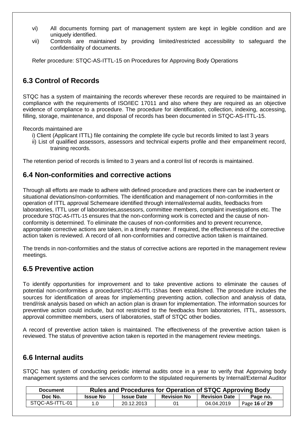- vi) All documents forming part of management system are kept in legible condition and are uniquely identified.
- vii) Controls are maintained by providing limited/restricted accessibility to safeguard the confidentiality of documents.

Refer procedure: STQC-AS-ITTL-15 on Procedures for Approving Body Operations

# **6.3 Control of Records**

STQC has a system of maintaining the records wherever these records are required to be maintained in compliance with the requirements of ISO/IEC 17011 and also where they are required as an objective evidence of compliance to a procedure. The procedure for identification, collection, indexing, accessing, filling, storage, maintenance, and disposal of records has been documented in STQC-AS-ITTL-15.

Records maintained are

- i) Client (Applicant ITTL) file containing the complete life cycle but records limited to last 3 years
- ii) List of qualified assessors, assessors and technical experts profile and their empanelment record, training records.

The retention period of records is limited to 3 years and a control list of records is maintained.

## **6.4 Non-conformities and corrective actions**

Through all efforts are made to adhere with defined procedure and practices there can be inadvertent or situational deviations/non-conformities. The identification and management of non-conformities in the operation of ITTL approval Schemeare identified through internal/external audits, feedbacks from laboratories, ITTL user of laboratories,assessors, committee members, complaint investigations etc. The procedure STQC-AS-ITTL-15 ensures that the non-conforming work is corrected and the cause of nonconformity is determined. To eliminate the causes of non-conformities and to prevent recurrence, appropriate corrective actions are taken, in a timely manner. If required, the effectiveness of the corrective action taken is reviewed. A record of all non-conformities and corrective action taken is maintained.

The trends in non-conformities and the status of corrective actions are reported in the management review meetings.

# **6.5 Preventive action**

To identify opportunities for improvement and to take preventive actions to eliminate the causes of potential non-conformities a procedureSTQC-AS-ITTL-15has been established. The procedure includes the sources for identification of areas for implementing preventing action, collection and analysis of data, trend/risk analysis based on which an action plan is drawn for implementation. The information sources for preventive action could include, but not restricted to the feedbacks from laboratories, ITTL, assessors, approval committee members, users of laboratories, staff of STQC other bodies.

A record of preventive action taken is maintained. The effectiveness of the preventive action taken is reviewed. The status of preventive action taken is reported in the management review meetings.

# **6.6 Internal audits**

STQC has system of conducting periodic internal audits once in a year to verify that Approving body management systems and the services conform to the stipulated requirements by Internal/External Auditor

| <b>Document</b> |                 | Rules and Procedures for Operation of STQC Approving Body |                    |                      |               |  |  |
|-----------------|-----------------|-----------------------------------------------------------|--------------------|----------------------|---------------|--|--|
| Doc No.         | <b>Issue No</b> | <b>Issue Date</b>                                         | <b>Revision No</b> | <b>Revision Date</b> | Page no.      |  |  |
| STQC-AS-ITTL-01 | 1.0             | 20.12.2013                                                | 01                 | 04.04.2019           | Page 16 of 29 |  |  |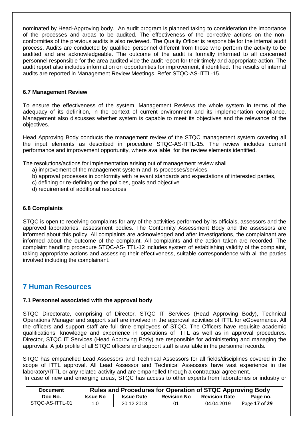nominated by Head-Approving body. An audit program is planned taking to consideration the importance of the processes and areas to be audited. The effectiveness of the corrective actions on the nonconformities of the previous audits is also reviewed. The Quality Officer is responsible for the internal audit process. Audits are conducted by qualified personnel different from those who perform the activity to be audited and are acknowledgeable. The outcome of the audit is formally informed to all concerned personnel responsible for the area audited vide the audit report for their timely and appropriate action. The audit report also includes information on opportunities for improvement, if identified. The results of internal audits are reported in Management Review Meetings. Refer STQC-AS-ITTL-15.

#### **6.7 Management Review**

To ensure the effectiveness of the system, Management Reviews the whole system in terms of the adequacy of its definition, in the context of current environment and its implementation compliance. Management also discusses whether system is capable to meet its objectives and the relevance of the objectives.

Head Approving Body conducts the management review of the STQC management system covering all the input elements as described in procedure STQC-AS-ITTL-15. The review includes current performance and improvement opportunity, where available, for the review elements identified.

The resolutions/actions for implementation arising out of management review shall

- a) improvement of the management system and its processes/services
- b) approval processes in conformity with relevant standards and expectations of interested parties,
- c) defining or re-defining or the policies, goals and objective
- d) requirement of additional resources

#### **6.8 Complaints**

STQC is open to receiving complaints for any of the activities performed by its officials, assessors and the approved laboratories, assessment bodies. The Conformity Assessment Body and the assessors are informed about this policy. All complaints are acknowledged and after investigations, the complainant are informed about the outcome of the complaint. All complaints and the action taken are recorded. The complaint handling procedure STQC-AS-ITTL-12 includes system of establishing validity of the complaint, taking appropriate actions and assessing their effectiveness, suitable correspondence with all the parties involved including the complainant.

## **7 Human Resources**

#### **7.1 Personnel associated with the approval body**

STQC Directorate, comprising of Director, STQC IT Services (Head Approving Body), Technical Operations Manager and support staff are involved in the approval activities of ITTL for eGovernance. All the officers and support staff are full time employees of STQC. The Officers have requisite academic qualifications, knowledge and experience in operations of ITTL as well as in approval procedures. Director, STQC IT Services (Head Approving Body) are responsible for administering and managing the approvals. A job profile of all STQC officers and support staff is available in the personnel records.

STQC has empanelled Lead Assessors and Technical Assessors for all fields/disciplines covered in the scope of ITTL approval. All Lead Assessor and Technical Assessors have vast experience in the laboratory/ITTL or any related activity and are empanelled through a contractual agreement. In case of new and emerging areas, STQC has access to other experts from laboratories or industry or

| <b>Document</b> |                 | <b>Rules and Procedures for Operation of STQC Approving Body</b> |                    |                      |               |  |  |  |
|-----------------|-----------------|------------------------------------------------------------------|--------------------|----------------------|---------------|--|--|--|
| Doc No.         | <b>Issue No</b> | <b>Issue Date</b>                                                | <b>Revision No</b> | <b>Revision Date</b> | Page no.      |  |  |  |
| STQC-AS-ITTL-01 | 1.0             | 20.12.2013                                                       | 01                 | 04.04.2019           | Page 17 of 29 |  |  |  |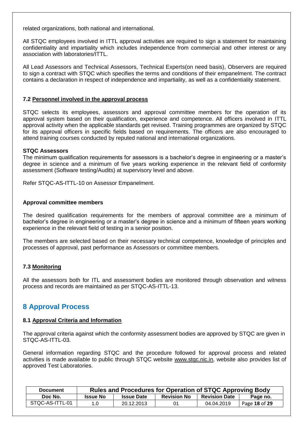related organizations, both national and international.

All STQC employees involved in ITTL approval activities are required to sign a statement for maintaining confidentiality and impartiality which includes independence from commercial and other interest or any association with laboratories/ITTL.

All Lead Assessors and Technical Assessors, Technical Experts(on need basis), Observers are required to sign a contract with STQC which specifies the terms and conditions of their empanelment. The contract contains a declaration in respect of independence and impartiality, as well as a confidentiality statement.

#### **7.2 Personnel involved in the approval process**

STQC selects its employees, assessors and approval committee members for the operation of its approval system based on their qualification, experience and competence. All officers involved in ITTL approval activity when the applicable standards get revised. Training programmes are organized by STQC for its approval officers in specific fields based on requirements. The officers are also encouraged to attend training courses conducted by reputed national and international organizations.

#### **STQC Assessors**

The minimum qualification requirements for assessors is a bachelor"s degree in engineering or a master"s degree in science and a minimum of five years working experience in the relevant field of conformity assessment (Software testing/Audits) at supervisory level and above.

Refer STQC-AS-ITTL-10 on Assessor Empanelment.

#### **Approval committee members**

The desired qualification requirements for the members of approval committee are a minimum of bachelor"s degree in engineering or a master"s degree in science and a minimum of fifteen years working experience in the relevant field of testing in a senior position.

The members are selected based on their necessary technical competence, knowledge of principles and processes of approval, past performance as Assessors or committee members.

### **7.3 Monitoring**

All the assessors both for ITL and assessment bodies are monitored through observation and witness process and records are maintained as per STQC-AS-ITTL-13.

## **8 Approval Process**

#### **8.1 Approval Criteria and Information**

The approval criteria against which the conformity assessment bodies are approved by STQC are given in STQC-AS-ITTL-03.

General information regarding STQC and the procedure followed for approval process and related activities is made available to public through STQC website www.stqc.nic.in, website also provides list of approved Test Laboratories.

| <b>Document</b> |                 | Rules and Procedures for Operation of STQC Approving Body |                    |                      |               |  |  |
|-----------------|-----------------|-----------------------------------------------------------|--------------------|----------------------|---------------|--|--|
| Doc No.         | <b>Issue No</b> | <b>Issue Date</b>                                         | <b>Revision No</b> | <b>Revision Date</b> | Page no.      |  |  |
| STQC-AS-ITTL-01 | 1.0             | 20.12.2013                                                | 01                 | 04.04.2019           | Page 18 of 29 |  |  |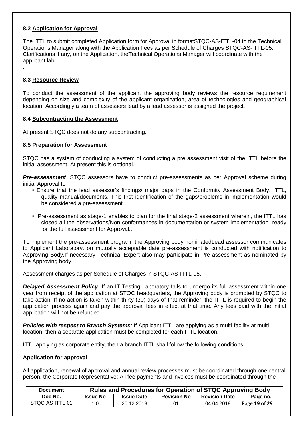### **8.2 Application for Approval**

The ITTL to submit completed Application form for Approval in formatSTQC-AS-ITTL-04 to the Technical Operations Manager along with the Application Fees as per Schedule of Charges STQC-AS-ITTL-05. Clarifications if any, on the Application, theTechnical Operations Manager will coordinate with the applicant lab.

### **8.3 Resource Review**

.

To conduct the assessment of the applicant the approving body reviews the resource requirement depending on size and complexity of the applicant organization, area of technologies and geographical location. Accordingly a team of assessors lead by a lead assessor is assigned the project.

#### **8.4 Subcontracting the Assessment**

At present STQC does not do any subcontracting.

#### **8.5 Preparation for Assessment**

STQC has a system of conducting a system of conducting a pre assessment visit of the ITTL before the initial assessment. At present this is optional.

*Pre-assessment:* STQC assessors have to conduct pre-assessments as per Approval scheme during initial Approval to

- Ensure that the lead assessor"s findings/ major gaps in the Conformity Assessment Body, ITTL, quality manual/documents. This first identification of the gaps/problems in implementation would be considered a pre-assessment.
- Pre-assessment as stage-1 enables to plan for the final stage-2 assessment wherein, the ITTL has closed all the observations/Non conformances in documentation or system implementation ready for the full assessment for Approval..

To implement the pre-assessment program, the Approving body nominatedLead assessor communicates to Applicant Laboratory. on mutually acceptable date pre-assessment is conducted with notification to Approving Body.If necessary Technical Expert also may participate in Pre-assessment as nominated by the Approving body.

Assessment charges as per Schedule of Charges in STQC-AS-ITTL-05.

**Delayed Assessment Policy:** If an IT Testing Laboratory fails to undergo its full assessment within one year from receipt of the application at STQC headquarters, the Approving body is prompted by STQC to take action. If no action is taken within thirty (30) days of that reminder, the ITTL is required to begin the application process again and pay the approval fees in effect at that time. Any fees paid with the initial application will not be refunded.

*Policies with respect to Branch Systems:* If Applicant ITTL are applying as a multi-facility at multilocation, then a separate application must be completed for each ITTL location.

ITTL applying as corporate entity, then a branch ITTL shall follow the following conditions:

#### **Application for approval**

All application, renewal of approval and annual review processes must be coordinated through one central person, the Corporate Representative; All fee payments and invoices must be coordinated through the

| <b>Document</b> |                 | <b>Rules and Procedures for Operation of STQC Approving Body</b> |                    |                      |               |  |  |
|-----------------|-----------------|------------------------------------------------------------------|--------------------|----------------------|---------------|--|--|
| Doc No.         | <b>Issue No</b> | <b>Issue Date</b>                                                | <b>Revision No</b> | <b>Revision Date</b> | Page no.      |  |  |
| STQC-AS-ITTL-01 | 1.0             | 20.12.2013                                                       | 01                 | 04.04.2019           | Page 19 of 29 |  |  |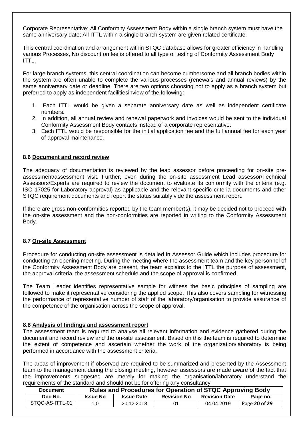Corporate Representative; All Conformity Assessment Body within a single branch system must have the same anniversary date; All ITTL within a single branch system are given related certificate.

This central coordination and arrangement within STQC database allows for greater efficiency in handling various Processes, No discount on fee is offered to all type of testing of Conformity Assessment Body ITTL.

For large branch systems, this central coordination can become cumbersome and all branch bodies within the system are often unable to complete the various processes (renewals and annual reviews) by the same anniversary date or deadline. There are two options choosing not to apply as a branch system but preferred to apply as independent facilitiesinview of the following:

- 1. Each ITTL would be given a separate anniversary date as well as independent certificate numbers.
- 2. In addition, all annual review and renewal paperwork and invoices would be sent to the individual Conformity Assessment Body contacts instead of a corporate representative.
- 3. Each ITTL would be responsible for the initial application fee and the full annual fee for each year of approval maintenance.

#### **8.6 Document and record review**

The adequacy of documentation is reviewed by the lead assessor before proceeding for on-site preassessment/assessment visit. Further, even during the on-site assessment Lead assessor/Technical Assessors/Experts are required to review the document to evaluate its conformity with the criteria (e.g. ISO 17025 for Laboratory approval) as applicable and the relevant specific criteria documents and other STQC requirement documents and report the status suitably vide the assessment report.

If there are gross non-conformities reported by the team member(s), it may be decided not to proceed with the on-site assessment and the non-conformities are reported in writing to the Conformity Assessment Body.

### **8.7 On-site Assessment**

Procedure for conducting on-site assessment is detailed in Assessor Guide which includes procedure for conducting an opening meeting. During the meeting where the assessment team and the key personnel of the Conformity Assessment Body are present, the team explains to the ITTL the purpose of assessment, the approval criteria, the assessment schedule and the scope of approval is confirmed.

The Team Leader identifies representative sample for witness the basic principles of sampling are followed to make it representative considering the applied scope. This also covers sampling for witnessing the performance of representative number of staff of the laboratory/organisation to provide assurance of the competence of the organisation across the scope of approval.

### **8.8 Analysis of findings and assessment report**

The assessment team is required to analyse all relevant information and evidence gathered during the document and record review and the on-site assessment. Based on this the team is required to determine the extent of competence and ascertain whether the work of the organization/laboratory is being performed in accordance with the assessment criteria.

The areas of improvement if observed are required to be summarized and presented by the Assessment team to the management during the closing meeting, however assessors are made aware of the fact that the improvements suggested are merely for making the organisation/laboratory understand the requirements of the standard and should not be for offering any consultancy

| <b>Document</b> |                 | <b>Rules and Procedures for Operation of STQC Approving Body</b> |                    |                      |               |  |  |
|-----------------|-----------------|------------------------------------------------------------------|--------------------|----------------------|---------------|--|--|
| Doc No.         | <b>Issue No</b> | <b>Issue Date</b>                                                | <b>Revision No</b> | <b>Revision Date</b> | Page no.      |  |  |
| STOC-AS-ITTL-01 | 1.0             | 20.12.2013                                                       | 01                 | 04.04.2019           | Page 20 of 29 |  |  |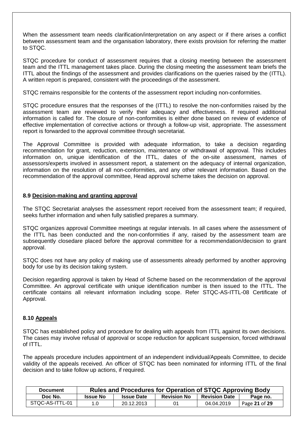When the assessment team needs clarification/interpretation on any aspect or if there arises a conflict between assessment team and the organisation laboratory, there exists provision for referring the matter to STQC.

STQC procedure for conduct of assessment requires that a closing meeting between the assessment team and the ITTL management takes place. During the closing meeting the assessment team briefs the ITTL about the findings of the assessment and provides clarifications on the queries raised by the (ITTL). A written report is prepared, consistent with the proceedings of the assessment.

STQC remains responsible for the contents of the assessment report including non-conformities.

STQC procedure ensures that the responses of the (ITTL) to resolve the non-conformities raised by the assessment team are reviewed to verify their adequacy and effectiveness. If required additional information is called for. The closure of non-conformities is either done based on review of evidence of effective implementation of corrective actions or through a follow-up visit, appropriate. The assessment report is forwarded to the approval committee through secretariat.

The Approval Committee is provided with adequate information, to take a decision regarding recommendation for grant, reduction, extension, maintenance or withdrawal of approval. This includes information on, unique identification of the ITTL, dates of the on-site assessment, names of assessors/experts involved in assessment report, a statement on the adequacy of internal organization, information on the resolution of all non-conformities, and any other relevant information. Based on the recommendation of the approval committee, Head approval scheme takes the decision on approval.

#### **8.9 Decision-making and granting approval**

The STQC Secretariat analyses the assessment report received from the assessment team; if required, seeks further information and when fully satisfied prepares a summary.

STQC organizes approval Committee meetings at regular intervals. In all cases where the assessment of the ITTL has been conducted and the non-conformities if any, raised by the assessment team are subsequently closedare placed before the approval committee for a recommendation/decision to grant approval.

STQC does not have any policy of making use of assessments already performed by another approving body for use by its decision taking system.

Decision regarding approval is taken by Head of Scheme based on the recommendation of the approval Committee. An approval certificate with unique identification number is then issued to the ITTL. The certificate contains all relevant information including scope. Refer STQC-AS-ITTL-08 Certificate of Approval.

#### **8.10 Appeals**

STQC has established policy and procedure for dealing with appeals from ITTL against its own decisions. The cases may involve refusal of approval or scope reduction for applicant suspension, forced withdrawal of ITTL.

The appeals procedure includes appointment of an independent individual/Appeals Committee, to decide validity of the appeals received. An officer of STQC has been nominated for informing ITTL of the final decision and to take follow up actions, if required.

| <b>Document</b> |                 | Rules and Procedures for Operation of STQC Approving Body |                    |                      |               |  |  |
|-----------------|-----------------|-----------------------------------------------------------|--------------------|----------------------|---------------|--|--|
| Doc No.         | <b>Issue No</b> | <b>Issue Date</b>                                         | <b>Revision No</b> | <b>Revision Date</b> | Page no.      |  |  |
| STQC-AS-ITTL-01 | 1.0             | 20.12.2013                                                | 01                 | 04.04.2019           | Page 21 of 29 |  |  |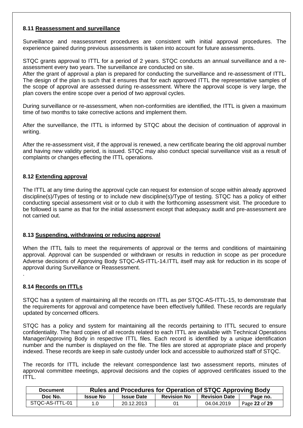### **8.11 Reassessment and surveillance**

Surveillance and reassessment procedures are consistent with initial approval procedures. The experience gained during previous assessments is taken into account for future assessments.

STQC grants approval to ITTL for a period of 2 years. STQC conducts an annual surveillance and a reassessment every two years. The surveillance are conducted on site.

After the grant of approval a plan is prepared for conducting the surveillance and re-assessment of ITTL. The design of the plan is such that it ensures that for each approved ITTL the representative samples of the scope of approval are assessed during re-assessment. Where the approval scope is very large, the plan covers the entire scope over a period of two approval cycles.

During surveillance or re-assessment, when non-conformities are identified, the ITTL is given a maximum time of two months to take corrective actions and implement them.

After the surveillance, the ITTL is informed by STQC about the decision of continuation of approval in writing.

After the re-assessment visit, if the approval is renewed, a new certificate bearing the old approval number and having new validity period, is issued. STQC may also conduct special surveillance visit as a result of complaints or changes effecting the ITTL operations.

### **8.12 Extending approval**

The ITTL at any time during the approval cycle can request for extension of scope within already approved discipline(s)/Types of testing or to include new discipline(s)/Type of testing. STQC has a policy of either conducting special assessment visit or to club it with the forthcoming assessment visit. The procedure to be followed is same as that for the initial assessment except that adequacy audit and pre-assessment are not carried out.

### **8.13 Suspending, withdrawing or reducing approval**

When the ITTL fails to meet the requirements of approval or the terms and conditions of maintaining approval. Approval can be suspended or withdrawn or results in reduction in scope as per procedure Adverse decisions of Approving Body STQC-AS-ITTL-14.ITTL itself may ask for reduction in its scope of approval during Surveillance or Reassessment.

### **8.14 Records on ITTLs**

.

STQC has a system of maintaining all the records on ITTL as per STQC-AS-ITTL-15, to demonstrate that the requirements for approval and competence have been effectively fulfilled. These records are regularly updated by concerned officers.

STQC has a policy and system for maintaining all the records pertaining to ITTL secured to ensure confidentiality. The hard copies of all records related to each ITTL are available with Technical Operations Manager/Approving Body in respective ITTL files. Each record is identified by a unique identification number and the number is displayed on the file. The files are stored at appropriate place and properly indexed. These records are keep in safe custody under lock and accessible to authorized staff of STQC.

The records for ITTL include the relevant correspondence last two assessment reports, minutes of approval committee meetings, approval decisions and the copies of approved certificates issued to the ITTL.

| <b>Document</b> |                 | Rules and Procedures for Operation of STQC Approving Body |                    |                      |               |  |  |  |
|-----------------|-----------------|-----------------------------------------------------------|--------------------|----------------------|---------------|--|--|--|
| Doc No.         | <b>Issue No</b> | <b>Issue Date</b>                                         | <b>Revision No</b> | <b>Revision Date</b> | Page no.      |  |  |  |
| STQC-AS-ITTL-01 | 1.0             | 20.12.2013                                                | 01                 | 04.04.2019           | Page 22 of 29 |  |  |  |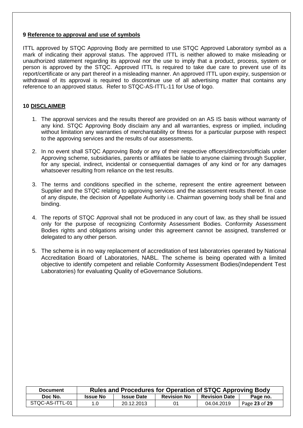### **9 Reference to approval and use of symbols**

ITTL approved by STQC Approving Body are permitted to use STQC Approved Laboratory symbol as a mark of indicating their approval status. The approved ITTL is neither allowed to make misleading or unauthorized statement regarding its approval nor the use to imply that a product, process, system or person is approved by the STQC. Approved ITTL is required to take due care to prevent use of its report/certificate or any part thereof in a misleading manner. An approved ITTL upon expiry, suspension or withdrawal of its approval is required to discontinue use of all advertising matter that contains any reference to an approved status. Refer to STQC-AS-ITTL-11 for Use of logo.

### **10 DISCLAIMER**

- 1. The approval services and the results thereof are provided on an AS IS basis without warranty of any kind. STQC Approving Body disclaim any and all warranties, express or implied, including without limitation any warranties of merchantability or fitness for a particular purpose with respect to the approving services and the results of our assessments.
- 2. In no event shall STQC Approving Body or any of their respective officers/directors/officials under Approving scheme, subsidiaries, parents or affiliates be liable to anyone claiming through Supplier, for any special, indirect, incidental or consequential damages of any kind or for any damages whatsoever resulting from reliance on the test results.
- 3. The terms and conditions specified in the scheme, represent the entire agreement between Supplier and the STQC relating to approving services and the assessment results thereof. In case of any dispute, the decision of Appellate Authority i.e. Chairman governing body shall be final and binding.
- 4. The reports of STQC Approval shall not be produced in any court of law, as they shall be issued only for the purpose of recognizing Conformity Assessment Bodies. Conformity Assessment Bodies rights and obligations arising under this agreement cannot be assigned, transferred or delegated to any other person.
- 5. The scheme is in no way replacement of accreditation of test laboratories operated by National Accreditation Board of Laboratories, NABL. The scheme is being operated with a limited objective to identify competent and reliable Conformity Assessment Bodies(Independent Test Laboratories) for evaluating Quality of eGovernance Solutions.

| <b>Document</b> | Rules and Procedures for Operation of STQC Approving Body |                   |                    |                      |               |  |
|-----------------|-----------------------------------------------------------|-------------------|--------------------|----------------------|---------------|--|
| Doc No.         | <b>Issue No</b>                                           | <b>Issue Date</b> | <b>Revision No</b> | <b>Revision Date</b> | Page no.      |  |
| STQC-AS-ITTL-01 | 1.0                                                       | 20.12.2013        | 01                 | 04.04.2019           | Page 23 of 29 |  |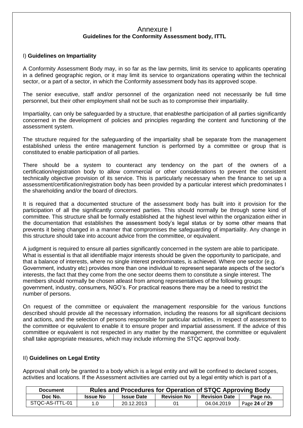### Annexure I **Guidelines for the Conformity Assessment body, ITTL**

### I) **Guidelines on Impartiality**

A Conformity Assessment Body may, in so far as the law permits, limit its service to applicants operating in a defined geographic region, or it may limit its service to organizations operating within the technical sector, or a part of a sector, in which the Conformity assessment body has its approved scope.

The senior executive, staff and/or personnel of the organization need not necessarily be full time personnel, but their other employment shall not be such as to compromise their impartiality.

Impartiality, can only be safeguarded by a structure, that enablesthe participation of all parties significantly concerned in the development of policies and principles regarding the content and functioning of the assessment system.

The structure required for the safeguarding of the impartiality shall be separate from the management established unless the entire management function is performed by a committee or group that is constituted to enable participation of all parties.

There should be a system to counteract any tendency on the part of the owners of a certification/registration body to allow commercial or other considerations to prevent the consistent technically objective provision of its service. This is particularly necessary when the finance to set up a assessment/certification/registration body has been provided by a particular interest which predominates I the shareholding and/or the board of directors.

It is required that a documented structure of the assessment body has built into it provision for the participation of all the significantly concerned parties. This should normally be through some kind of committee. This structure shall be formally established at the highest level within the organization either in the documentation that establishes the assessment body"s legal status or by some other means that prevents it being changed in a manner that compromises the safeguarding of impartiality. Any change in this structure should take into account advice from the committee, or equivalent.

A judgment is required to ensure all parties significantly concerned in the system are able to participate. What is essential is that all identifiable major interests should be given the opportunity to participate, and that a balance of interests, where no single interest predominates, is achieved. Where one sector (e.g. Government, industry etc) provides more than one individual to represent separate aspects of the sector"s interests, the fact that they come from the one sector deems them to constitute a single interest. The members should normally be chosen atleast from among representatives of the following groups: government, industry, consumers, NGO"s. For practical reasons there may be a need to restrict the number of persons.

On request of the committee or equivalent the management responsible for the various functions described should provide all the necessary information, including the reasons for all significant decisions and actions, and the selection of persons responsible for particular activities, in respect of assessment to the committee or equivalent to enable it to ensure proper and impartial assessment. If the advice of this committee or equivalent is not respected in any matter by the management, the committee or equivalent shall take appropriate measures, which may include informing the STQC approval body.

### II) **Guidelines on Legal Entity**

Approval shall only be granted to a body which is a legal entity and will be confined to declared scopes, activities and locations. If the Assessment activities are carried out by a legal entity which is part of a

| <b>Document</b> |                 | Rules and Procedures for Operation of STQC Approving Body |                    |                      |               |  |
|-----------------|-----------------|-----------------------------------------------------------|--------------------|----------------------|---------------|--|
| Doc No.         | <b>Issue No</b> | <b>Issue Date</b>                                         | <b>Revision No</b> | <b>Revision Date</b> | Page no.      |  |
| STQC-AS-ITTL-01 |                 | 20.12.2013                                                | 01                 | 04.04.2019           | Page 24 of 29 |  |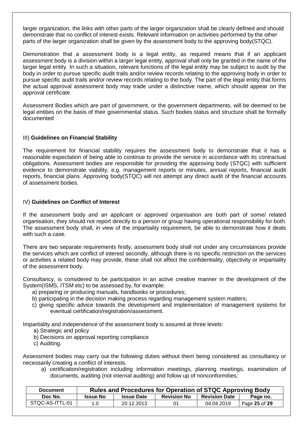larger organization, the links with other parts of the larger organization shall be clearly defined and should demonstrate that no conflict of interest exists. Relevant information on activities performed by the other parts of the larger organization shall be given by the assessment body to the approving body(STQC).

Demonstration that a assessment body is a legal entity, as required means that if an applicant assessment body is a division within a larger legal entity, approval shall only be granted in the name of the larger legal entity. In such a situation, relevant functions of the legal entity may be subject to audit by the body in order to pursue specific audit trails and/or review records relating to the approving body in order to pursue specific audit trails and/or review records relating to the body. The part of the legal entity that forms the actual approval assessment body may trade under a distinctive name, which should appear on the approval certificate.

Assessment Bodies which are part of government, or the government departments, will be deemed to be legal entities on the basis of their governmental status. Such bodies status and structure shall be formally documented

### III) **Guidelines on Financial Stability**

The requirement for financial stability requires the assessment body to demonstrate that it has a reasonable expectation of being able to continue to provide the service in accordance with its contractual obligations. Assessment bodies are responsible for providing the approving body (STQC) with sufficient evidence to demonstrate viability, e.g. management reports or minutes, annual reports, financial audit reports, financial plans. Approving body(STQC) will not attempt any direct audit of the financial accounts of assessment bodies.

#### IV) **Guidelines on Conflict of Interest**

If the assessment body and an applicant or approved organisation are both part of some/ related organisation, they should not report directly to a person or group having operational responsibility for both. The assessment body shall, in view of the impartiality requirement, be able to demonstrate how it deals with such a case.

There are two separate requirements firstly, assessment body shall not under any circumstances provide the services which are conflict of interest secondly, although there is no specific restriction on the services or activities a related body may provide, these shall not affect the confidentiality, objectivity or impartiality of the assessment body.

Consultancy, is considered to be participation in an active creative manner in the development of the System(ISMS, ITSM etc) to be assessed by, for example:

- a) preparing or producing manuals, handbooks or procedures;
- b) participating in the decision making process regarding management system matters;
- c) giving specific advice towards the development and implementation of management systems for eventual certification/registration/assessment.

Impartiality and independence of the assessment body is assured at three levels:

- a) Strategic and policy
- b) Decisions on approval reporting compliance
- c) Auditing.

Assessment bodies may carry out the following duties without them being considered as consultancy or necessarily creating a conflict of interests.

a) certification/registration including information meetings, planning meetings, examination of documents, auditing (not internal auditing) and follow up of nonconformities;

| <b>Document</b> |                 | Rules and Procedures for Operation of STQC Approving Body |                    |                      |               |  |
|-----------------|-----------------|-----------------------------------------------------------|--------------------|----------------------|---------------|--|
| Doc No.         | <b>Issue No</b> | <b>Issue Date</b>                                         | <b>Revision No</b> | <b>Revision Date</b> | Page no.      |  |
| STQC-AS-ITTL-01 | 1.0             | 20.12.2013                                                |                    | 04.04.2019           | Page 25 of 29 |  |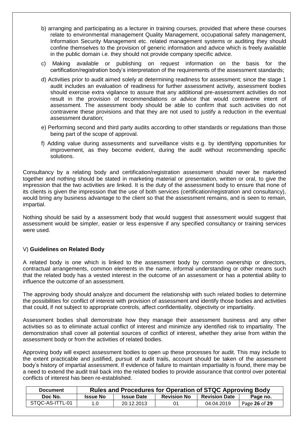- b) arranging and participating as a lecturer in training courses, provided that where these courses relate to environmental management Quality Management, occupational safety management, Information Security Management etc. related management systems or auditing they should confine themselves to the provision of generic information and advice which is freely available in the public domain i.e. they should not provide company specific advice.
- c) Making available or publishing on request information on the basis for the certification/registration body"s interpretation of the requirements of the assessment standards;
- d) Activities prior to audit aimed solely at determining readiness for assessment; since the stage 1 audit includes an evaluation of readiness for further assessment activity, assessment bodies should exercise extra vigilance to assure that any additional pre-assessment activities do not result in the provision of recommendations or advice that would contravene intent of assessment. The assessment body should be able to confirm that such activities do not contravene these provisions and that they are not used to justify a reduction in the eventual assessment duration;
- e) Performing second and third party audits according to other standards or regulations than those being part of the scope of approval.
- f) Adding value during assessments and surveillance visits e.g. by identifying opportunities for improvement, as they become evident, during the audit without recommending specific solutions.

Consultancy by a relating body and certification/registration assessment should never be marketed together and nothing should be stated in marketing material or presentation, written or oral, to give the impression that the two activities are linked. It is the duty of the assessment body to ensure that none of its clients is given the impression that the use of both services (certification/registration and consultancy), would bring any business advantage to the client so that the assessment remains, and is seen to remain, impartial.

Nothing should be said by a assessment body that would suggest that assessment would suggest that assessment would be simpler, easier or less expensive if any specified consultancy or training services were used.

### V) **Guidelines on Related Body**

A related body is one which is linked to the assessment body by common ownership or directors, contractual arrangements, common elements in the name, informal understanding or other means such that the related body has a vested interest in the outcome of an assessment or has a potential ability to influence the outcome of an assessment.

The approving body should analyze and document the relationship with such related bodies to determine the possibilities for conflict of interest with provision of assessment and identify those bodies and activities that could, if not subject to appropriate controls, affect confidentiality, objectivity or impartiality.

Assessment bodies shall demonstrate how they manage their assessment business and any other activities so as to eliminate actual conflict of interest and minimize any identified risk to impartiality. The demonstration shall cover all potential sources of conflict of interest, whether they arise from within the assessment body or from the activities of related bodies.

Approving body will expect assessment bodies to open up these processes for audit. This may include to the extent practicable and justified, pursuit of audit trails, account should be taken of the assessment body"s history of impartial assessment. If evidence of failure to maintain impartiality is found, there may be a need to extend the audit trail back into the related bodies to provide assurance that control over potential conflicts of interest has been re-established.

| <b>Document</b> | Rules and Procedures for Operation of STQC Approving Body |                   |                    |                      |               |  |
|-----------------|-----------------------------------------------------------|-------------------|--------------------|----------------------|---------------|--|
| Doc No.         | <b>Issue No</b>                                           | <b>Issue Date</b> | <b>Revision No</b> | <b>Revision Date</b> | Page no.      |  |
| STQC-AS-ITTL-01 | 1.0                                                       | 20.12.2013        | 01                 | 04.04.2019           | Page 26 of 29 |  |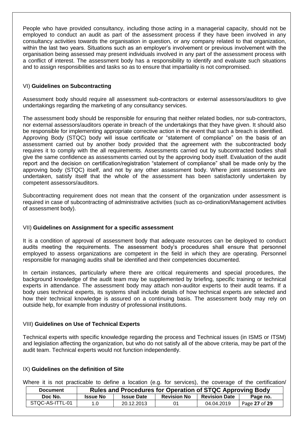People who have provided consultancy, including those acting in a managerial capacity, should not be employed to conduct an audit as part of the assessment process if they have been involved in any consultancy activities towards the organisation in question, or any company related to that organization, within the last two years. Situations such as an employer's involvement or previous involvement with the organisation being assessed may present individuals involved in any part of the assessment process with a conflict of interest. The assessment body has a responsibility to identify and evaluate such situations and to assign responsibilities and tasks so as to ensure that impartiality is not compromised.

### VI) **Guidelines on Subcontracting**

Assessment body should require all assessment sub-contractors or external assessors/auditors to give undertakings regarding the marketing of any consultancy services.

The assessment body should be responsible for ensuring that neither related bodies, nor sub-contractors, nor external assessors/auditors operate in breach of the undertakings that they have given. It should also be responsible for implementing appropriate corrective action in the event that such a breach is identified. Approving Body (STQC) body will issue certificate or "statement of compliance" on the basis of an assessment carried out by another body provided that the agreement with the subcontracted body requires it to comply with the all requirements. Assessments carried out by subcontracted bodies shall give the same confidence as assessments carried out by the approving body itself. Evaluation of the audit report and the decision on certification/registration "statement of compliance" shall be made only by the approving body (STQC) itself, and not by any other assessment body. Where joint assessments are undertaken, satisfy itself that the whole of the assessment has been satisfactorily undertaken by competent assessors/auditors.

Subcontracting requirement does not mean that the consent of the organization under assessment is required in case of subcontracting of administrative activities (such as co-ordination/Management activities of assessment body).

### VII) **Guidelines on Assignment for a specific assessment**

It is a condition of approval of assessment body that adequate resources can be deployed to conduct audits meeting the requirements. The assessment body"s procedures shall ensure that personnel employed to assess organizations are competent in the field in which they are operating. Personnel responsible for managing audits shall be identified and their competencies documented.

In certain instances, particularly where there are critical requirements and special procedures, the background knowledge of the audit team may be supplemented by briefing, specific training or technical experts in attendance. The assessment body may attach non-auditor experts to their audit teams. If a body uses technical experts, its systems shall include details of how technical experts are selected and how their technical knowledge is assured on a continuing basis. The assessment body may rely on outside help, for example from industry of professional institutions.

### VIII) **Guidelines on Use of Technical Experts**

Technical experts with specific knowledge regarding the process and Technical issues (in ISMS or ITSM) and legislation affecting the organization, but who do not satisfy all of the above criteria, may be part of the audit team. Technical experts would not function independently.

### IX) **Guidelines on the definition of Site**

Where it is not practicable to define a location (e.g. for services), the coverage of the certification/

| <b>Document</b> | Rules and Procedures for Operation of STQC Approving Body |                   |                    |                      |               |  |
|-----------------|-----------------------------------------------------------|-------------------|--------------------|----------------------|---------------|--|
| Doc No.         | <b>Issue No</b>                                           | <b>Issue Date</b> | <b>Revision No</b> | <b>Revision Date</b> | Page no.      |  |
| STQC-AS-ITTL-01 | 1.0                                                       | 20.12.2013        | 01                 | 04.04.2019           | Page 27 of 29 |  |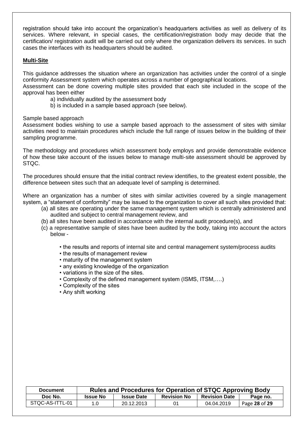registration should take into account the organization"s headquarters activities as well as delivery of its services. Where relevant, in special cases, the certification/registration body may decide that the certification/ registration audit will be carried out only where the organization delivers its services. In such cases the interfaces with its headquarters should be audited.

### **Multi-Site**

This guidance addresses the situation where an organization has activities under the control of a single conformity Assessment system which operates across a number of geographical locations. Assessment can be done covering multiple sites provided that each site included in the scope of the approval has been either

- a) individually audited by the assessment body
- b) is included in a sample based approach (see below).

Sample based approach

Assessment bodies wishing to use a sample based approach to the assessment of sites with similar activities need to maintain procedures which include the full range of issues below in the building of their sampling programme.

The methodology and procedures which assessment body employs and provide demonstrable evidence of how these take account of the issues below to manage multi-site assessment should be approved by STQC.

The procedures should ensure that the initial contract review identifies, to the greatest extent possible, the difference between sites such that an adequate level of sampling is determined.

Where an organization has a number of sites with similar activities covered by a single management system, a "statement of conformity" may be issued to the organization to cover all such sites provided that:

- (a) all sites are operating under the same management system which is centrally administered and audited and subject to central management review, and
- (b) all sites have been audited in accordance with the internal audit procedure(s), and
- (c) a representative sample of sites have been audited by the body, taking into account the actors below -
	- the results and reports of internal site and central management system/process audits
	- the results of management review
	- maturity of the management system
	- any existing knowledge of the organization
	- variations in the size of the sites.
	- Complexity of the defined management system (ISMS, ITSM,….)
	- Complexity of the sites
	- Any shift working

| <b>Document</b> | <b>Rules and Procedures for Operation of STQC Approving Body</b> |                   |                    |                      |               |
|-----------------|------------------------------------------------------------------|-------------------|--------------------|----------------------|---------------|
| Doc No.         | <b>Issue No</b>                                                  | <b>Issue Date</b> | <b>Revision No</b> | <b>Revision Date</b> | Page no.      |
| STQC-AS-ITTL-01 | 1.0                                                              | 20.12.2013        | 01                 | 04.04.2019           | Page 28 of 29 |